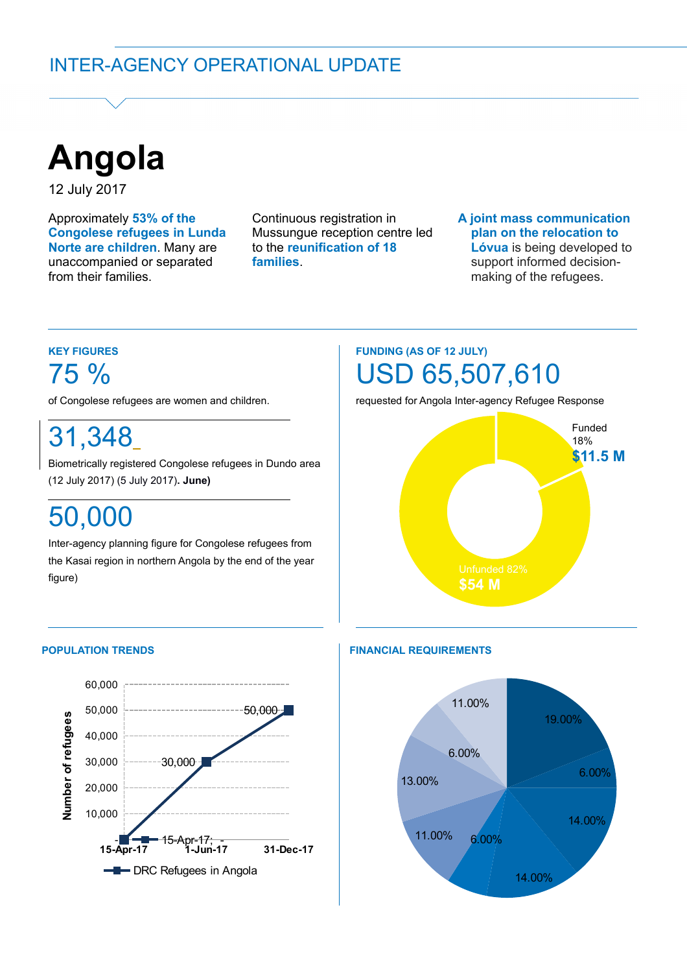

12 July 2017

Approximately **53% of the Congolese refugees in Lunda Norte are children**. Many are unaccompanied or separated from their families.

Continuous registration in Mussungue reception centre led to the **reunification of 18 families**.

### **A joint mass communication plan on the relocation to Lóvua** is being developed to support informed decisionmaking of the refugees.

# **KEY FIGURES** 75 %

of Congolese refugees are women and children.

31,348

Biometrically registered Congolese refugees in Dundo area (12 July 2017) (5 July 2017)**. June)**

# 50,000

Inter-agency planning figure for Congolese refugees from the Kasai region in northern Angola by the end of the year figure)

# **FUNDING (AS OF 12 JULY)** USD 65,507,610

requested for Angola Inter-agency Refugee Response



## **POPULATION TRENDS**



## **FINANCIAL REQUIREMENTS**

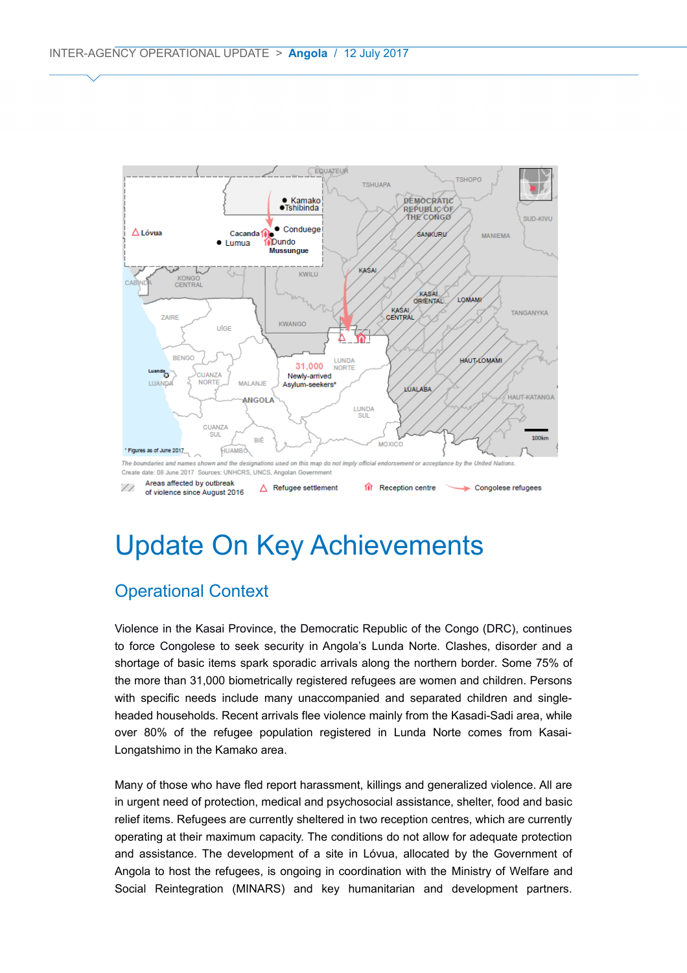

# Update On Key Achievements

## Operational Context

Violence in the Kasai Province, the Democratic Republic of the Congo (DRC), continues to force Congolese to seek security in Angola's Lunda Norte. Clashes, disorder and a shortage of basic items spark sporadic arrivals along the northern border. Some 75% of the more than 31,000 biometrically registered refugees are women and children. Persons with specific needs include many unaccompanied and separated children and singleheaded households. Recent arrivals flee violence mainly from the Kasadi-Sadi area, while over 80% of the refugee population registered in Lunda Norte comes from Kasai-Longatshimo in the Kamako area.

Many of those who have fled report harassment, killings and generalized violence. All are in urgent need of protection, medical and psychosocial assistance, shelter, food and basic relief items. Refugees are currently sheltered in two reception centres, which are currently operating at their maximum capacity. The conditions do not allow for adequate protection and assistance. The development of a site in Lóvua, allocated by the Government of Angola to host the refugees, is ongoing in coordination with the Ministry of Welfare and Social Reintegration (MINARS) and key humanitarian and development partners.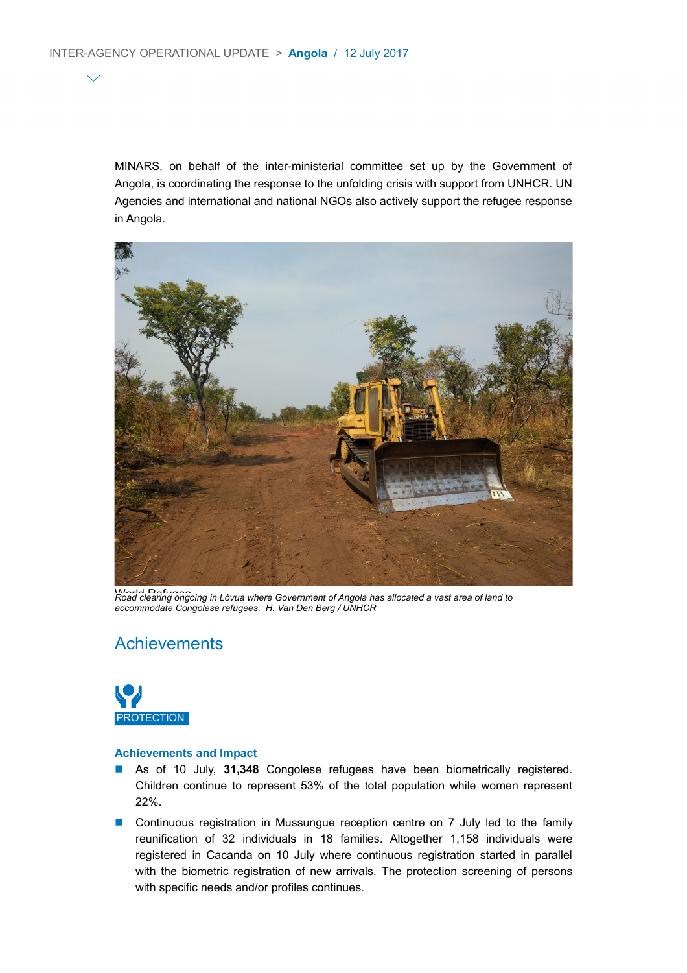MINARS, on behalf of the inter-ministerial committee set up by the Government of Angola, is coordinating the response to the unfolding crisis with support from UNHCR. UN Agencies and international and national NGOs also actively support the refugee response in Angola.



World Clearing ongoing in Lóvua where Government of Angola has allocated a vast area of land to *accommodate Congolese refugees. H. Van Den Berg / UNHCR*

## **Achievements**



- As of 10 July, 31,348 Congolese refugees have been biometrically registered. Children continue to represent 53% of the total population while women represent 22%.
- Continuous registration in Mussungue reception centre on 7 July led to the family reunification of 32 individuals in 18 families. Altogether 1,158 individuals were registered in Cacanda on 10 July where continuous registration started in parallel with the biometric registration of new arrivals. The protection screening of persons with specific needs and/or profiles continues.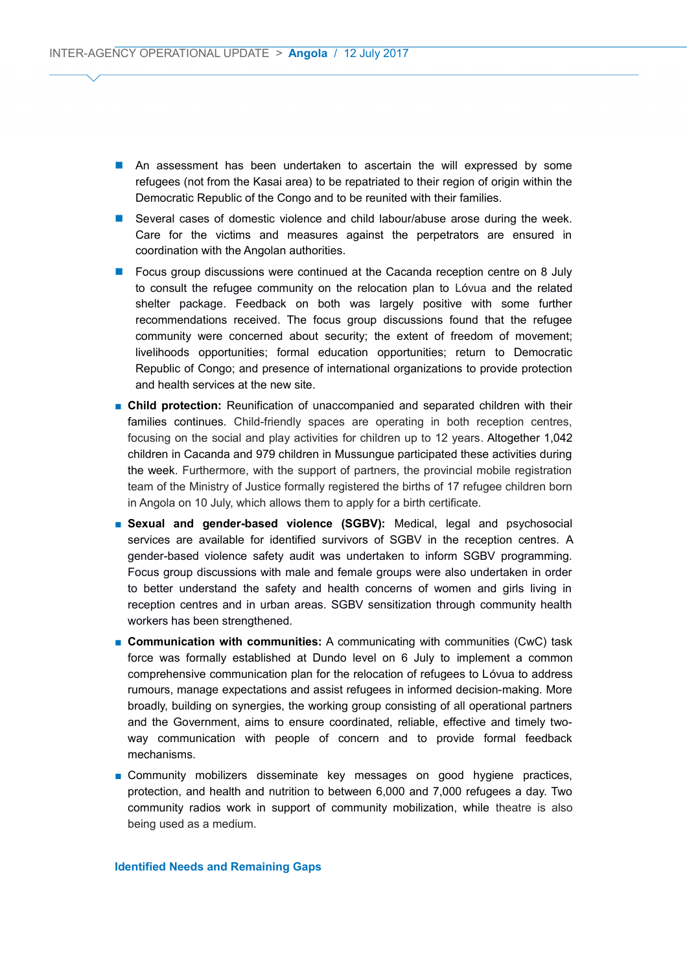- **An assessment has been undertaken to ascertain the will expressed by some** refugees (not from the Kasai area) to be repatriated to their region of origin within the Democratic Republic of the Congo and to be reunited with their families.
- Several cases of domestic violence and child labour/abuse arose during the week. Care for the victims and measures against the perpetrators are ensured in coordination with the Angolan authorities.
- **Focus group discussions were continued at the Cacanda reception centre on 8 July** to consult the refugee community on the relocation plan to Lóvua and the related shelter package. Feedback on both was largely positive with some further recommendations received. The focus group discussions found that the refugee community were concerned about security; the extent of freedom of movement; livelihoods opportunities; formal education opportunities; return to Democratic Republic of Congo; and presence of international organizations to provide protection and health services at the new site.
- **Child protection:** Reunification of unaccompanied and separated children with their families continues. Child-friendly spaces are operating in both reception centres, focusing on the social and play activities for children up to 12 years. Altogether 1,042 children in Cacanda and 979 children in Mussungue participated these activities during the week. Furthermore, with the support of partners, the provincial mobile registration team of the Ministry of Justice formally registered the births of 17 refugee children born in Angola on 10 July, which allows them to apply for a birth certificate.
- **B** Sexual and gender-based violence (SGBV): Medical, legal and psychosocial services are available for identified survivors of SGBV in the reception centres. A gender-based violence safety audit was undertaken to inform SGBV programming. Focus group discussions with male and female groups were also undertaken in order to better understand the safety and health concerns of women and girls living in reception centres and in urban areas. SGBV sensitization through community health workers has been strengthened.
- **Communication with communities:** A communicating with communities (CwC) task force was formally established at Dundo level on 6 July to implement a common comprehensive communication plan for the relocation of refugees to Lóvua to address rumours, manage expectations and assist refugees in informed decision-making. More broadly, building on synergies, the working group consisting of all operational partners and the Government, aims to ensure coordinated, reliable, effective and timely twoway communication with people of concern and to provide formal feedback mechanisms.
- Community mobilizers disseminate key messages on good hygiene practices, protection, and health and nutrition to between 6,000 and 7,000 refugees a day. Two community radios work in support of community mobilization, while theatre is also being used as a medium.

#### **Identified Needs and Remaining Gaps**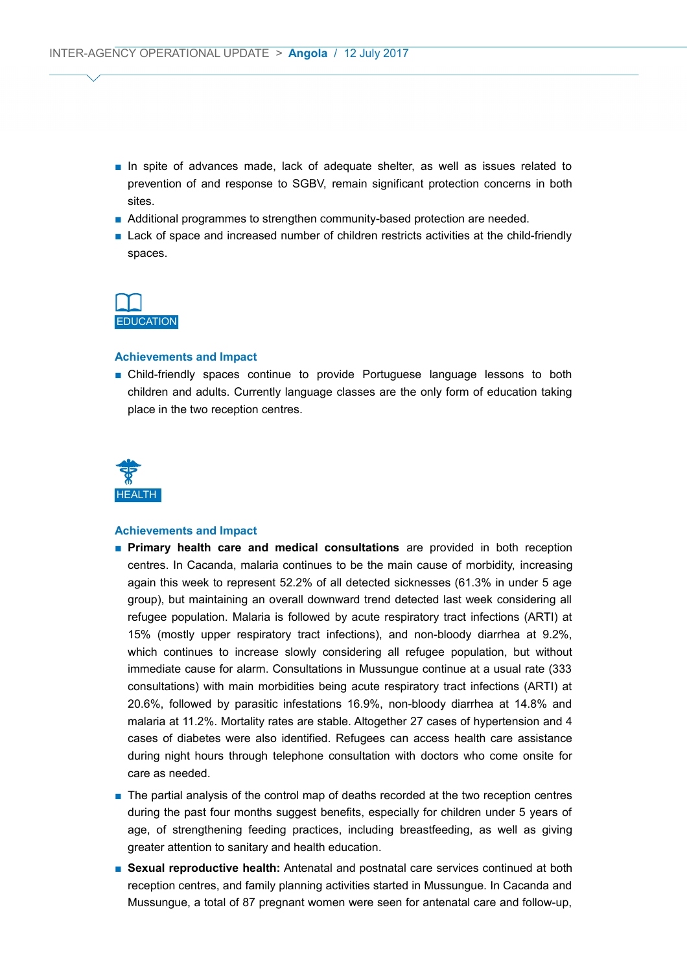- In spite of advances made, lack of adequate shelter, as well as issues related to prevention of and response to SGBV, remain significant protection concerns in both sites.
- Additional programmes to strengthen community-based protection are needed.
- Lack of space and increased number of children restricts activities at the child-friendly spaces.



#### **Achievements and Impact**

■ Child-friendly spaces continue to provide Portuguese language lessons to both children and adults. Currently language classes are the only form of education taking place in the two reception centres.



- *■* **Primary health care and medical consultations** are provided in both reception centres. In Cacanda, malaria continues to be the main cause of morbidity, increasing again this week to represent 52.2% of all detected sicknesses (61.3% in under 5 age group), but maintaining an overall downward trend detected last week considering all refugee population. Malaria is followed by acute respiratory tract infections (ARTI) at 15% (mostly upper respiratory tract infections), and non-bloody diarrhea at 9.2%, which continues to increase slowly considering all refugee population, but without immediate cause for alarm. Consultations in Mussungue continue at a usual rate (333 consultations) with main morbidities being acute respiratory tract infections (ARTI) at 20.6%, followed by parasitic infestations 16.9%, non-bloody diarrhea at 14.8% and malaria at 11.2%. Mortality rates are stable. Altogether 27 cases of hypertension and 4 cases of diabetes were also identified. Refugees can access health care assistance during night hours through telephone consultation with doctors who come onsite for care as needed.
- The partial analysis of the control map of deaths recorded at the two reception centres during the past four months suggest benefits, especially for children under 5 years of age, of strengthening feeding practices, including breastfeeding, as well as giving greater attention to sanitary and health education.
- *■* **Sexual reproductive health:** Antenatal and postnatal care services continued at both reception centres, and family planning activities started in Mussungue. In Cacanda and Mussungue, a total of 87 pregnant women were seen for antenatal care and follow-up,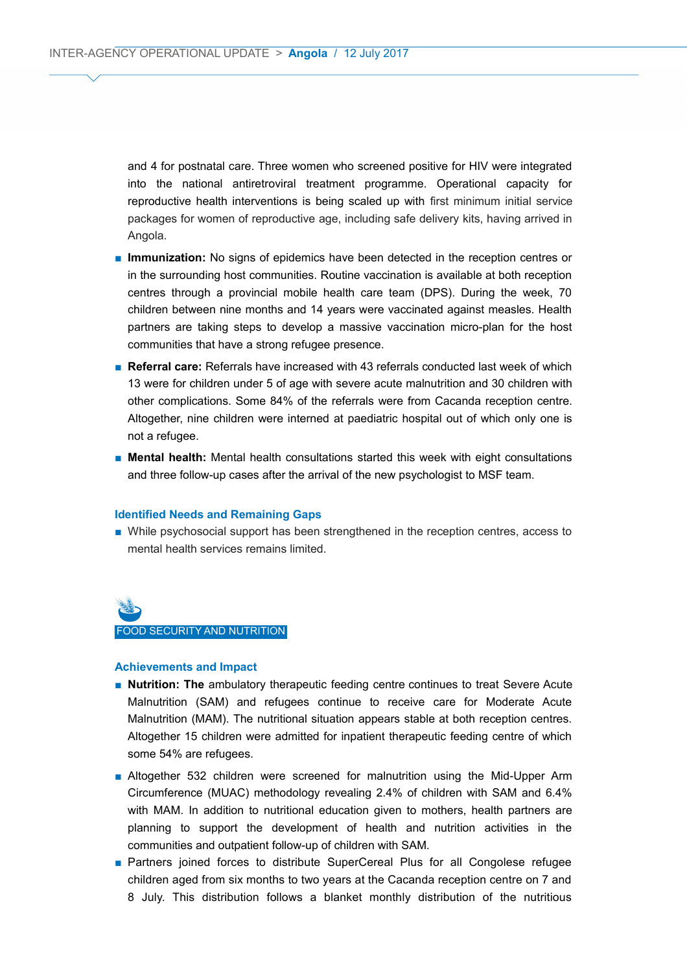and 4 for postnatal care. Three women who screened positive for HIV were integrated into the national antiretroviral treatment programme. Operational capacity for reproductive health interventions is being scaled up with first minimum initial service packages for women of reproductive age, including safe delivery kits, having arrived in Angola.

- *■* **Immunization:** No signs of epidemics have been detected in the reception centres or in the surrounding host communities. Routine vaccination is available at both reception centres through a provincial mobile health care team (DPS). During the week, 70 children between nine months and 14 years were vaccinated against measles. Health partners are taking steps to develop a massive vaccination micro-plan for the host communities that have a strong refugee presence.
- *■* **Referral care:** Referrals have increased with 43 referrals conducted last week of which 13 were for children under 5 of age with severe acute malnutrition and 30 children with other complications. Some 84% of the referrals were from Cacanda reception centre. Altogether, nine children were interned at paediatric hospital out of which only one is not a refugee.
- *■* **Mental health:** Mental health consultations started this week with eight consultations and three follow-up cases after the arrival of the new psychologist to MSF team.

#### **Identified Needs and Remaining Gaps**

■ While psychosocial support has been strengthened in the reception centres, access to mental health services remains limited.

# FOOD SECURITY AND NUTRITION

- **Nutrition: The** ambulatory therapeutic feeding centre continues to treat Severe Acute Malnutrition (SAM) and refugees continue to receive care for Moderate Acute Malnutrition (MAM). The nutritional situation appears stable at both reception centres. Altogether 15 children were admitted for inpatient therapeutic feeding centre of which some 54% are refugees.
- Altogether 532 children were screened for malnutrition using the Mid-Upper Arm Circumference (MUAC) methodology revealing 2.4% of children with SAM and 6.4% with MAM. In addition to nutritional education given to mothers, health partners are planning to support the development of health and nutrition activities in the communities and outpatient follow-up of children with SAM.
- *■* Partners joined forces to distribute SuperCereal Plus for all Congolese refugee children aged from six months to two years at the Cacanda reception centre on 7 and 8 July. This distribution follows a blanket monthly distribution of the nutritious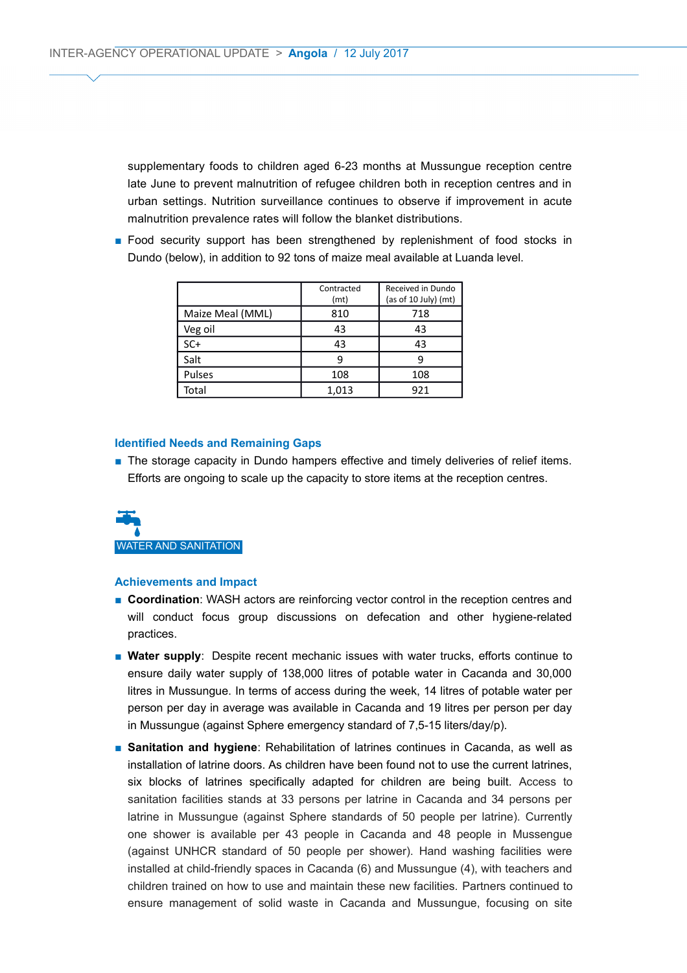supplementary foods to children aged 6-23 months at Mussungue reception centre late June to prevent malnutrition of refugee children both in reception centres and in urban settings. Nutrition surveillance continues to observe if improvement in acute malnutrition prevalence rates will follow the blanket distributions.

■ Food security support has been strengthened by replenishment of food stocks in Dundo (below), in addition to 92 tons of maize meal available at Luanda level.

|                  | Contracted<br>(mt) | Received in Dundo<br>(as of 10 July) (mt) |
|------------------|--------------------|-------------------------------------------|
| Maize Meal (MML) | 810                | 718                                       |
| Veg oil          | 43                 | 43                                        |
| $SC+$            | 43                 | 43                                        |
| Salt             | q                  |                                           |
| Pulses           | 108                | 108                                       |
| Total            | 1,013              | 921                                       |

#### **Identified Needs and Remaining Gaps**

■ The storage capacity in Dundo hampers effective and timely deliveries of relief items. Efforts are ongoing to scale up the capacity to store items at the reception centres.



- **Coordination**: WASH actors are reinforcing vector control in the reception centres and will conduct focus group discussions on defecation and other hygiene-related practices.
- **Water supply**: Despite recent mechanic issues with water trucks, efforts continue to ensure daily water supply of 138,000 litres of potable water in Cacanda and 30,000 litres in Mussungue. In terms of access during the week, 14 litres of potable water per person per day in average was available in Cacanda and 19 litres per person per day in Mussungue (against Sphere emergency standard of 7,5-15 liters/day/p).
- **Sanitation and hygiene**: Rehabilitation of latrines continues in Cacanda, as well as installation of latrine doors. As children have been found not to use the current latrines, six blocks of latrines specifically adapted for children are being built. Access to sanitation facilities stands at 33 persons per latrine in Cacanda and 34 persons per latrine in Mussungue (against Sphere standards of 50 people per latrine). Currently one shower is available per 43 people in Cacanda and 48 people in Mussengue (against UNHCR standard of 50 people per shower). Hand washing facilities were installed at child-friendly spaces in Cacanda (6) and Mussungue (4), with teachers and children trained on how to use and maintain these new facilities. Partners continued to ensure management of solid waste in Cacanda and Mussungue, focusing on site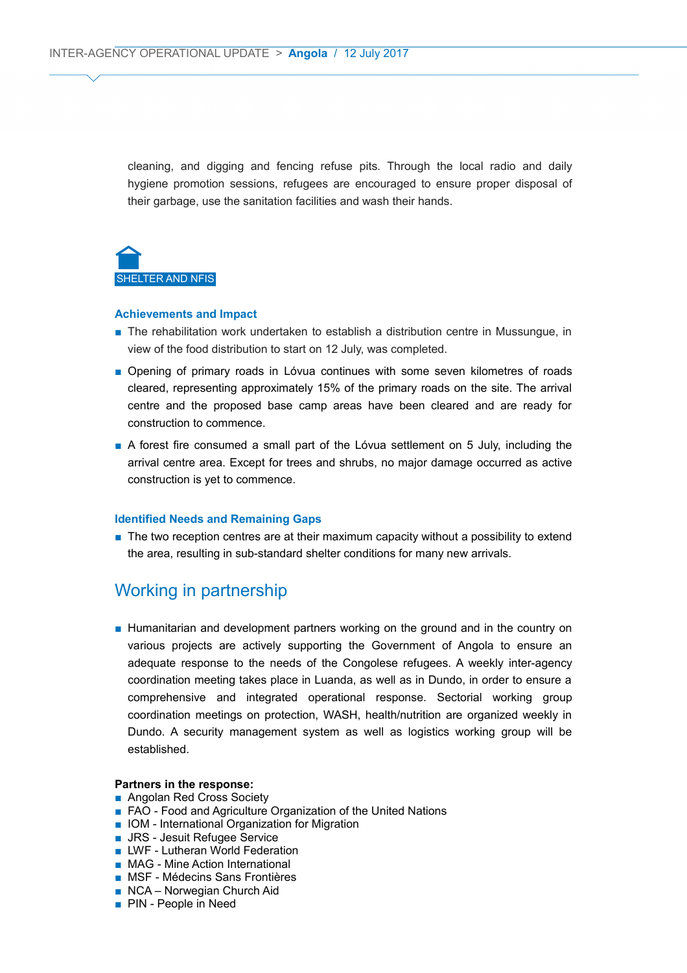cleaning, and digging and fencing refuse pits. Through the local radio and daily hygiene promotion sessions, refugees are encouraged to ensure proper disposal of their garbage, use the sanitation facilities and wash their hands.



#### **Achievements and Impact**

- The rehabilitation work undertaken to establish a distribution centre in Mussungue, in view of the food distribution to start on 12 July, was completed.
- Opening of primary roads in Lóvua continues with some seven kilometres of roads cleared, representing approximately 15% of the primary roads on the site. The arrival centre and the proposed base camp areas have been cleared and are ready for construction to commence.
- A forest fire consumed a small part of the Lóvua settlement on 5 July, including the arrival centre area. Except for trees and shrubs, no major damage occurred as active construction is yet to commence.

#### **Identified Needs and Remaining Gaps**

■ The two reception centres are at their maximum capacity without a possibility to extend the area, resulting in sub-standard shelter conditions for many new arrivals.

## Working in partnership

■ Humanitarian and development partners working on the ground and in the country on various projects are actively supporting the Government of Angola to ensure an adequate response to the needs of the Congolese refugees. A weekly inter-agency coordination meeting takes place in Luanda, as well as in Dundo, in order to ensure a comprehensive and integrated operational response. Sectorial working group coordination meetings on protection, WASH, health/nutrition are organized weekly in Dundo. A security management system as well as logistics working group will be established.

#### **Partners in the response:**

- Angolan Red Cross Society
- FAO Food and Agriculture Organization of the United Nations
- IOM International Organization for Migration
- JRS Jesuit Refugee Service
- LWF Lutheran World Federation
- MAG Mine Action International
- MSF Médecins Sans Frontières
- NCA Norwegian Church Aid
- PIN People in Need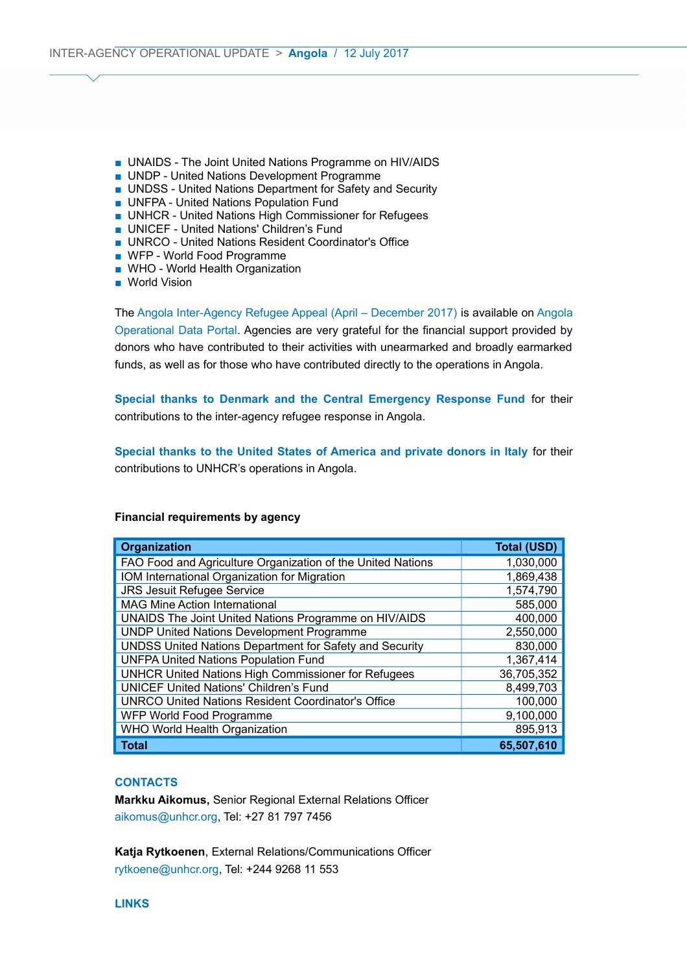- UNAIDS The Joint United Nations Programme on HIV/AIDS
- UNDP United Nations Development Programme
- UNDSS United Nations Department for Safety and Security
- UNFPA United Nations Population Fund
- UNHCR United Nations High Commissioner for Refugees
- UNICEF United Nations' Children's Fund
- UNRCO United Nations Resident Coordinator's Office
- WFP World Food Programme
- WHO World Health Organization
- World Vision

The [Angola Inter-Agency Refugee Appeal \(April – December 2017\)](http://reporting.unhcr.org/sites/default/files/Angola%20Inter-Agency%20Refugee%20Appeal%20-%20Apr-Dec%202017%20--%2012%20June%202017.pdf) is available on [Angola](https://data2.unhcr.org/en/country/ago) [Operational Data Portal.](https://data2.unhcr.org/en/country/ago) Agencies are very grateful for the financial support provided by donors who have contributed to their activities with unearmarked and broadly earmarked funds, as well as for those who have contributed directly to the operations in Angola.

**Special thanks to Denmark and the Central Emergency Response Fund** for their contributions to the inter-agency refugee response in Angola.

**Special thanks to the United States of America and private donors in Italy** for their contributions to UNHCR's operations in Angola.

| <b>Organization</b>                                         | <b>Total (USD)</b> |
|-------------------------------------------------------------|--------------------|
| FAO Food and Agriculture Organization of the United Nations | 1,030,000          |
| IOM International Organization for Migration                | 1,869,438          |
| <b>JRS Jesuit Refugee Service</b>                           | 1,574,790          |
| <b>MAG Mine Action International</b>                        | 585,000            |
| UNAIDS The Joint United Nations Programme on HIV/AIDS       | 400,000            |
| <b>UNDP United Nations Development Programme</b>            | 2,550,000          |
| UNDSS United Nations Department for Safety and Security     | 830,000            |
| <b>UNFPA United Nations Population Fund</b>                 | 1,367,414          |
| <b>UNHCR United Nations High Commissioner for Refugees</b>  | 36,705,352         |
| <b>UNICEF United Nations' Children's Fund</b>               | 8,499,703          |
| <b>UNRCO United Nations Resident Coordinator's Office</b>   | 100,000            |
| WFP World Food Programme                                    | 9,100,000          |
| WHO World Health Organization                               | 895,913            |
| <b>Total</b>                                                | 65,507,610         |

#### **Financial requirements by agency**

#### **CONTACTS**

**Markku Aikomus,** Senior Regional External Relations Officer [aikomus@unhcr.org,](mailto:aikomus@unhcr.org) Tel: +27 81 797 7456

**Katja Rytkoenen**, External Relations/Communications Officer [rytkoene@unhcr.org,](mailto:rytkoene@unhcr.org) Tel: +244 9268 11 553

#### **LINKS**